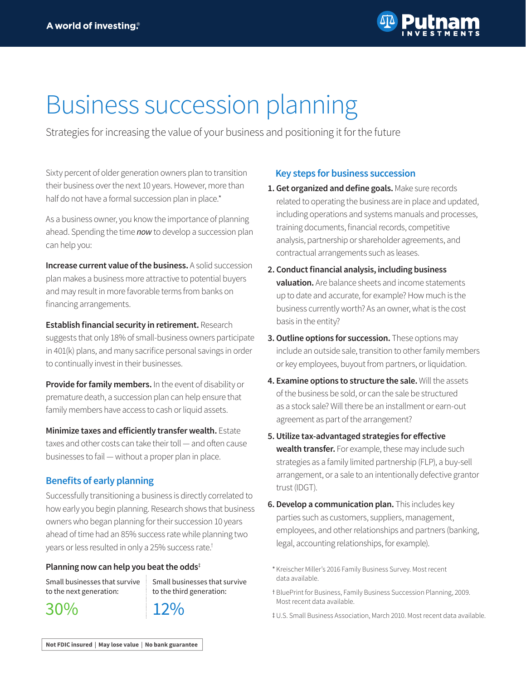

# Business succession planning

Strategies for increasing the value of your business and positioning it for the future

Sixty percent of older generation owners plan to transition their business over the next 10 years. However, more than half do not have a formal succession plan in place.\*

As a business owner, you know the importance of planning ahead. Spending the time *now* to develop a succession plan can help you:

**Increase current value of the business.** A solid succession plan makes a business more attractive to potential buyers and may result in more favorable terms from banks on financing arrangements.

**Establish financial security in retirement.** Research

suggests that only 18% of small-business owners participate in 401(k) plans, and many sacrifice personal savings in order to continually invest in their businesses.

**Provide for family members.** In the event of disability or premature death, a succession plan can help ensure that family members have access to cash or liquid assets.

**Minimize taxes and efficiently transfer wealth.** Estate taxes and other costs can take their toll — and often cause businesses to fail — without a proper plan in place.

# **Benefits of early planning**

Successfully transitioning a business is directly correlated to how early you begin planning. Research shows that business owners who began planning for their succession 10 years ahead of time had an 85% success rate while planning two years or less resulted in only a 25% success rate.†

## **Planning now can help you beat the odds**‡

Small businesses that survive to the next generation:

30%

Small businesses that survive to the third generation:



# **Key steps for business succession**

- **1. Get organized and define goals.** Make sure records related to operating the business are in place and updated, including operations and systems manuals and processes, training documents, financial records, competitive analysis, partnership or shareholder agreements, and contractual arrangements such as leases.
- **2. Conduct financial analysis, including business valuation.** Are balance sheets and income statements up to date and accurate, for example? How much is the business currently worth? As an owner, what is the cost basis in the entity?
- **3. Outline options for succession.** These options may include an outside sale, transition to other family members or key employees, buyout from partners, or liquidation.
- **4. Examine options to structure the sale.** Will the assets of the business be sold, or can the sale be structured as a stock sale? Will there be an installment or earn-out agreement as part of the arrangement?
- **5. Utilize tax-advantaged strategies for effective wealth transfer.** For example, these may include such strategies as a family limited partnership (FLP), a buy-sell arrangement, or a sale to an intentionally defective grantor trust (IDGT).
- **6. Develop a communication plan.** This includes key parties such as customers, suppliers, management, employees, and other relationships and partners (banking, legal, accounting relationships, for example).
- \* Kreischer Miller's 2016 Family Business Survey. Most recent data available.
- t BluePrint for Business, Family Business Succession Planning, 2009. Most recent data available.
- U.S. Small Business Association, March 2010. Most recent data available. 3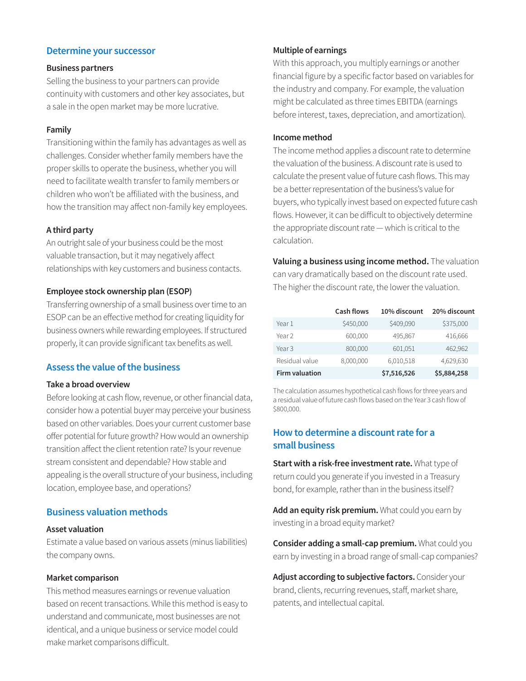# **Determine your successor**

#### **Business partners**

Selling the business to your partners can provide continuity with customers and other key associates, but a sale in the open market may be more lucrative.

#### **Family**

Transitioning within the family has advantages as well as challenges. Consider whether family members have the proper skills to operate the business, whether you will need to facilitate wealth transfer to family members or children who won't be affiliated with the business, and how the transition may affect non-family key employees.

## **A third party**

An outright sale of your business could be the most valuable transaction, but it may negatively affect relationships with key customers and business contacts.

## **Employee stock ownership plan (ESOP)**

Transferring ownership of a small business over time to an ESOP can be an effective method for creating liquidity for business owners while rewarding employees. If structured properly, it can provide significant tax benefits as well.

# **Assess the value of the business**

## **Take a broad overview**

Before looking at cash flow, revenue, or other financial data, consider how a potential buyer may perceive your business based on other variables. Does your current customer base offer potential for future growth? How would an ownership transition affect the client retention rate? Is your revenue stream consistent and dependable? How stable and appealing is the overall structure of your business, including location, employee base, and operations?

# **Business valuation methods**

#### **Asset valuation**

Estimate a value based on various assets (minus liabilities) the company owns.

#### **Market comparison**

This method measures earnings or revenue valuation based on recent transactions. While this method is easy to understand and communicate, most businesses are not identical, and a unique business or service model could make market comparisons difficult.

## **Multiple of earnings**

With this approach, you multiply earnings or another financial figure by a specific factor based on variables for the industry and company. For example, the valuation might be calculated as three times EBITDA (earnings before interest, taxes, depreciation, and amortization).

## **Income method**

The income method applies a discount rate to determine the valuation of the business. A discount rate is used to calculate the present value of future cash flows. This may be a better representation of the business's value for buyers, who typically invest based on expected future cash flows. However, it can be difficult to objectively determine the appropriate discount rate — which is critical to the calculation.

**Valuing a business using income method.** The valuation can vary dramatically based on the discount rate used. The higher the discount rate, the lower the valuation.

|                       | <b>Cash flows</b> | 10% discount | 20% discount |
|-----------------------|-------------------|--------------|--------------|
| Year 1                | \$450,000         | \$409,090    | \$375,000    |
| Year 2                | 600,000           | 495,867      | 416,666      |
| Year <sub>3</sub>     | 800,000           | 601,051      | 462,962      |
| Residual value        | 8,000,000         | 6,010,518    | 4,629,630    |
| <b>Firm valuation</b> |                   | \$7,516,526  | \$5,884,258  |

The calculation assumes hypothetical cash flows for three years and a residual value of future cash flows based on the Year 3 cash flow of \$800,000.

# **How to determine a discount rate for a small business**

**Start with a risk-free investment rate.** What type of return could you generate if you invested in a Treasury bond, for example, rather than in the business itself?

**Add an equity risk premium.** What could you earn by investing in a broad equity market?

**Consider adding a small-cap premium.** What could you earn by investing in a broad range of small-cap companies?

**Adjust according to subjective factors.** Consider your brand, clients, recurring revenues, staff, market share, patents, and intellectual capital.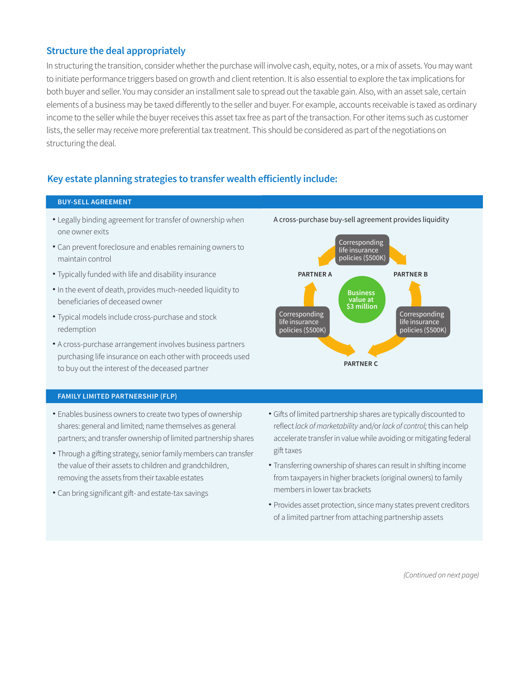# **Structure the deal appropriately**

In structuring the transition, consider whether the purchase will involve cash, equity, notes, or a mix of assets. You may want to initiate performance triggers based on growth and client retention. It is also essential to explore the tax implications for both buyer and seller. You may consider an installment sale to spread out the taxable gain. Also, with an asset sale, certain elements of a business may be taxed differently to the seller and buyer. For example, accounts receivable is taxed as ordinary income to the seller while the buyer receives this asset tax free as part of the transaction. For other items such as customer lists, the seller may receive more preferential tax treatment. This should be considered as part of the negotiations on structuring the deal.

# **Key estate planning strategies to transfer wealth efficiently include:**

#### **BUY-SELL AGREEMENT**

- Legally binding agreement for transfer of ownership when one owner exits
- Can prevent foreclosure and enables remaining owners to maintain control
- Typically funded with life and disability insurance •
- In the event of death, provides much-needed liquidity to beneficiaries of deceased owner
- Typical models include cross-purchase and stock redemption
- A cross-purchase arrangement involves business partners purchasing life insurance on each other with proceeds used to buy out the interest of the deceased partner



- Enables business owners to create two types of ownership shares: general and limited; name themselves as general partners; and transfer ownership of limited partnership shares
- Through a gifting strategy, senior family members can transfer the value of their assets to children and grandchildren, removing the assets from their taxable estates
- Can bring significant gift- and estate-tax savings •





- Gifts of limited partnership shares are typically discounted to reflect *lack of marketability* and/or *lack of control;* this can help accelerate transfer in value while avoiding or mitigating federal gift taxes
- Transferring ownership of shares can result in shifting income from taxpayers in higher brackets (original owners) to family members in lower tax brackets
- Provides asset protection, since many states prevent creditors of a limited partner from attaching partnership assets

*(Continued on next page)*